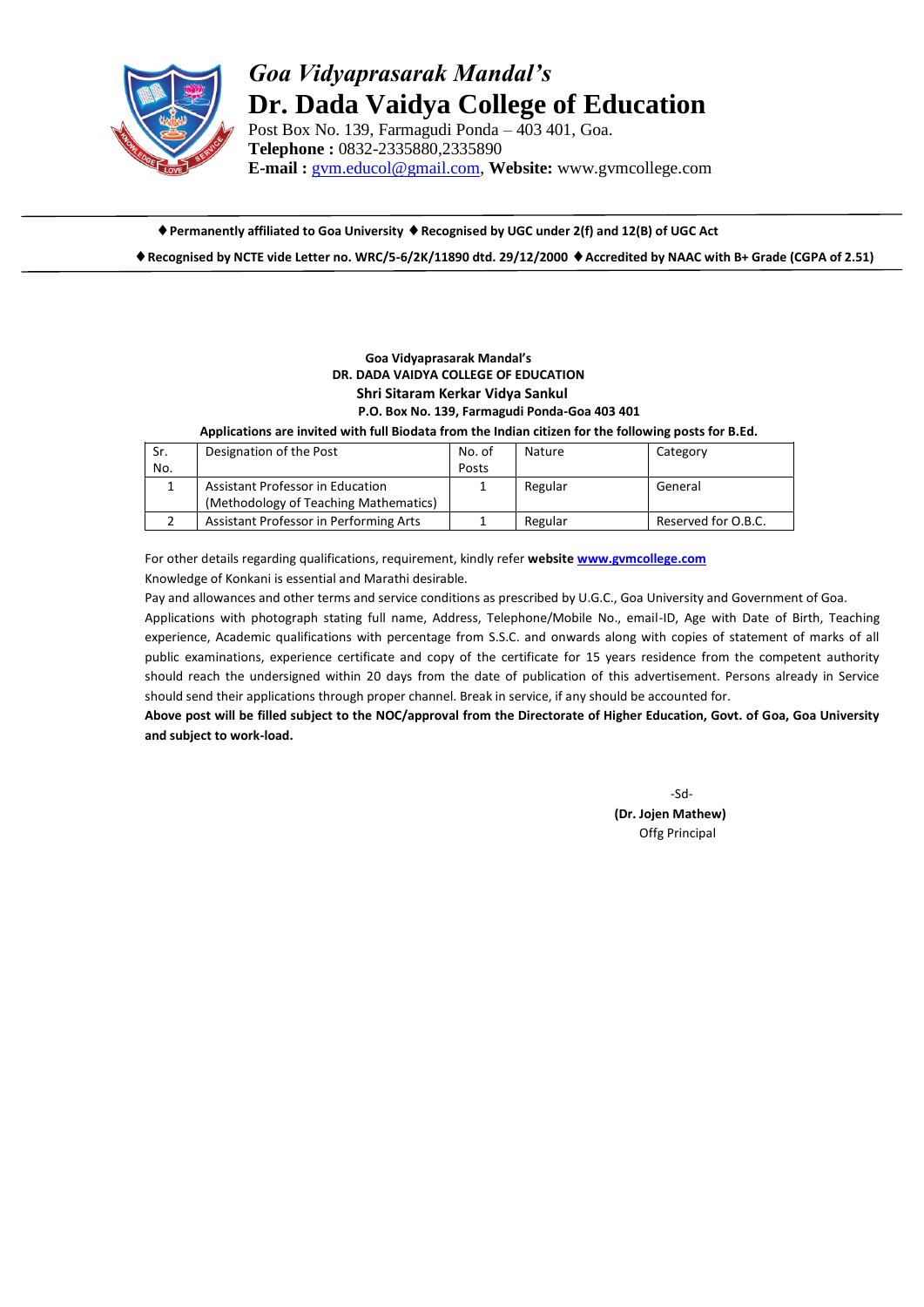

## *Goa Vidyaprasarak Mandal's* **Dr. Dada Vaidya College of Education**

Post Box No. 139, Farmagudi Ponda – 403 401, Goa. **Telephone :** 0832-2335880,2335890 **E-mail :** [gvm.educol@gmail.com,](mailto:gvm.educol@gmail.com) **Website:** www.gvmcollege.com

**Permanently affiliated to Goa University Recognised by UGC under 2(f) and 12(B) of UGC Act Recognised by NCTE vide Letter no. WRC/5-6/2K/11890 dtd. 29/12/2000 Accredited by NAAC with B+ Grade (CGPA of 2.51)**

## **Goa Vidyaprasarak Mandal's DR. DADA VAIDYA COLLEGE OF EDUCATION Shri Sitaram Kerkar Vidya Sankul P.O. Box No. 139, Farmagudi Ponda-Goa 403 401**

 **Applications are invited with full Biodata from the Indian citizen for the following posts for B.Ed.**

| Sr. | Designation of the Post                | No. of | Nature  | Category            |
|-----|----------------------------------------|--------|---------|---------------------|
| No. |                                        | Posts  |         |                     |
|     | Assistant Professor in Education       |        | Regular | General             |
|     | (Methodology of Teaching Mathematics)  |        |         |                     |
|     | Assistant Professor in Performing Arts |        | Regular | Reserved for O.B.C. |

For other details regarding qualifications, requirement, kindly refer **website [www.gvmcollege.com](http://www.gvmcollege.com/)** Knowledge of Konkani is essential and Marathi desirable.

Pay and allowances and other terms and service conditions as prescribed by U.G.C., Goa University and Government of Goa. Applications with photograph stating full name, Address, Telephone/Mobile No., email-ID, Age with Date of Birth, Teaching

experience, Academic qualifications with percentage from S.S.C. and onwards along with copies of statement of marks of all public examinations, experience certificate and copy of the certificate for 15 years residence from the competent authority should reach the undersigned within 20 days from the date of publication of this advertisement. Persons already in Service should send their applications through proper channel. Break in service, if any should be accounted for.

**Above post will be filled subject to the NOC/approval from the Directorate of Higher Education, Govt. of Goa, Goa University and subject to work-load.**

> -Sd- **(Dr. Jojen Mathew)** Offg Principal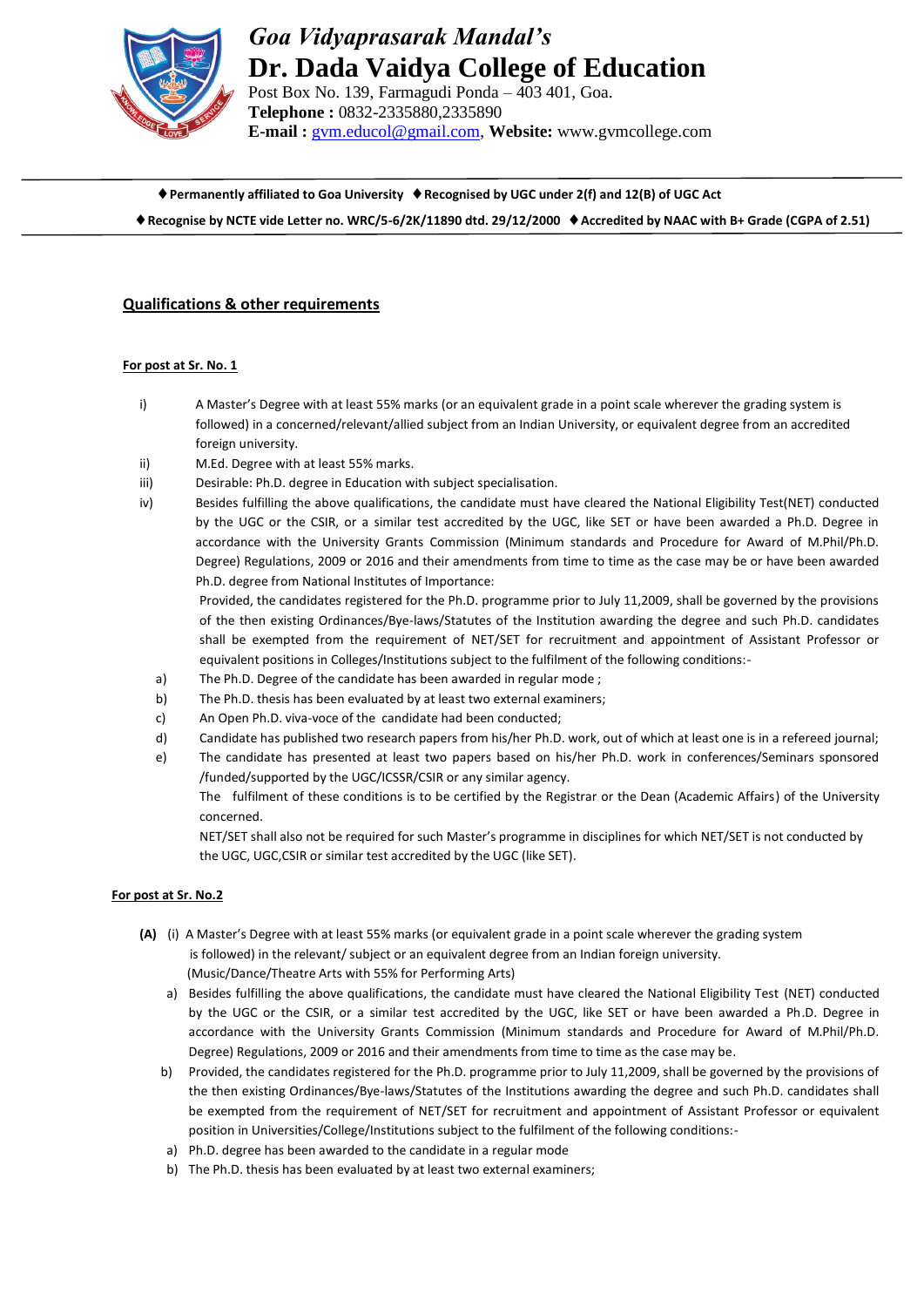

# *Goa Vidyaprasarak Mandal's* **Dr. Dada Vaidya College of Education**

Post Box No. 139, Farmagudi Ponda – 403 401, Goa. **Telephone :** 0832-2335880,2335890 **E-mail :** [gvm.educol@gmail.com,](mailto:gvm.educol@gmail.com) **Website:** www.gvmcollege.com

**Permanently affiliated to Goa University Recognised by UGC under 2(f) and 12(B) of UGC Act**

**Recognise by NCTE vide Letter no. WRC/5-6/2K/11890 dtd. 29/12/2000 Accredited by NAAC with B+ Grade (CGPA of 2.51)**

## **Qualifications & other requirements**

#### **For post at Sr. No. 1**

- i) A Master's Degree with at least 55% marks (or an equivalent grade in a point scale wherever the grading system is followed) in a concerned/relevant/allied subject from an Indian University, or equivalent degree from an accredited foreign university.
- ii) M.Ed. Degree with at least 55% marks.
- iii) Desirable: Ph.D. degree in Education with subject specialisation.
- iv) Besides fulfilling the above qualifications, the candidate must have cleared the National Eligibility Test(NET) conducted by the UGC or the CSIR, or a similar test accredited by the UGC, like SET or have been awarded a Ph.D. Degree in accordance with the University Grants Commission (Minimum standards and Procedure for Award of M.Phil/Ph.D. Degree) Regulations, 2009 or 2016 and their amendments from time to time as the case may be or have been awarded Ph.D. degree from National Institutes of Importance:

Provided, the candidates registered for the Ph.D. programme prior to July 11,2009, shall be governed by the provisions of the then existing Ordinances/Bye-laws/Statutes of the Institution awarding the degree and such Ph.D. candidates shall be exempted from the requirement of NET/SET for recruitment and appointment of Assistant Professor or equivalent positions in Colleges/Institutions subject to the fulfilment of the following conditions:-

- a) The Ph.D. Degree of the candidate has been awarded in regular mode ;
- b) The Ph.D. thesis has been evaluated by at least two external examiners;
- c) An Open Ph.D. viva-voce of the candidate had been conducted;
- d) Candidate has published two research papers from his/her Ph.D. work, out of which at least one is in a refereed journal;
- e) The candidate has presented at least two papers based on his/her Ph.D. work in conferences/Seminars sponsored /funded/supported by the UGC/ICSSR/CSIR or any similar agency.

The fulfilment of these conditions is to be certified by the Registrar or the Dean (Academic Affairs) of the University concerned.

NET/SET shall also not be required for such Master's programme in disciplines for which NET/SET is not conducted by the UGC, UGC,CSIR or similar test accredited by the UGC (like SET).

## **For post at Sr. No.2**

- **(A)** (i) A Master's Degree with at least 55% marks (or equivalent grade in a point scale wherever the grading system is followed) in the relevant/ subject or an equivalent degree from an Indian foreign university. (Music/Dance/Theatre Arts with 55% for Performing Arts)
	- a) Besides fulfilling the above qualifications, the candidate must have cleared the National Eligibility Test (NET) conducted by the UGC or the CSIR, or a similar test accredited by the UGC, like SET or have been awarded a Ph.D. Degree in accordance with the University Grants Commission (Minimum standards and Procedure for Award of M.Phil/Ph.D. Degree) Regulations, 2009 or 2016 and their amendments from time to time as the case may be.
	- b) Provided, the candidates registered for the Ph.D. programme prior to July 11,2009, shall be governed by the provisions of the then existing Ordinances/Bye-laws/Statutes of the Institutions awarding the degree and such Ph.D. candidates shall be exempted from the requirement of NET/SET for recruitment and appointment of Assistant Professor or equivalent position in Universities/College/Institutions subject to the fulfilment of the following conditions:-
	- a) Ph.D. degree has been awarded to the candidate in a regular mode
	- b) The Ph.D. thesis has been evaluated by at least two external examiners;